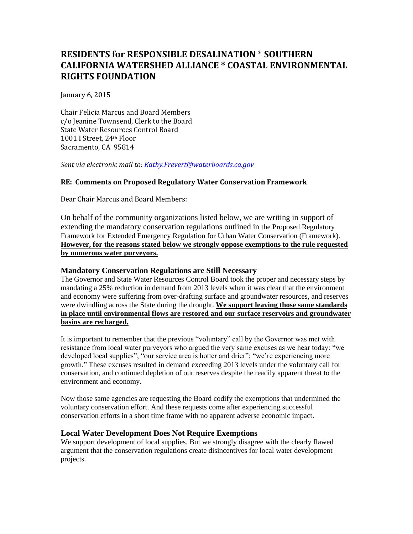# **RESIDENTS for RESPONSIBLE DESALINATION** \* **SOUTHERN CALIFORNIA WATERSHED ALLIANCE \* COASTAL ENVIRONMENTAL RIGHTS FOUNDATION**

January 6, 2015

Chair Felicia Marcus and Board Members c/o Jeanine Townsend, Clerk to the Board State Water Resources Control Board 1001 I Street, 24th Floor Sacramento, CA 95814

*Sent via electronic mail to: [Kathy.Frevert@waterboards.ca.gov](mailto:Kathy.Frevert@waterboards.ca.gov)*

### **RE: Comments on Proposed Regulatory Water Conservation Framework**

Dear Chair Marcus and Board Members:

On behalf of the community organizations listed below, we are writing in support of extending the mandatory conservation regulations outlined in the Proposed Regulatory Framework for Extended Emergency Regulation for Urban Water Conservation (Framework). **However, for the reasons stated below we strongly oppose exemptions to the rule requested by numerous water purveyors.**

### **Mandatory Conservation Regulations are Still Necessary**

The Governor and State Water Resources Control Board took the proper and necessary steps by mandating a 25% reduction in demand from 2013 levels when it was clear that the environment and economy were suffering from over-drafting surface and groundwater resources, and reserves were dwindling across the State during the drought. **We support leaving those same standards in place until environmental flows are restored and our surface reservoirs and groundwater basins are recharged.**

It is important to remember that the previous "voluntary" call by the Governor was met with resistance from local water purveyors who argued the very same excuses as we hear today: "we developed local supplies"; "our service area is hotter and drier"; "we're experiencing more growth." These excuses resulted in demand exceeding 2013 levels under the voluntary call for conservation, and continued depletion of our reserves despite the readily apparent threat to the environment and economy.

Now those same agencies are requesting the Board codify the exemptions that undermined the voluntary conservation effort. And these requests come after experiencing successful conservation efforts in a short time frame with no apparent adverse economic impact.

### **Local Water Development Does Not Require Exemptions**

We support development of local supplies. But we strongly disagree with the clearly flawed argument that the conservation regulations create disincentives for local water development projects.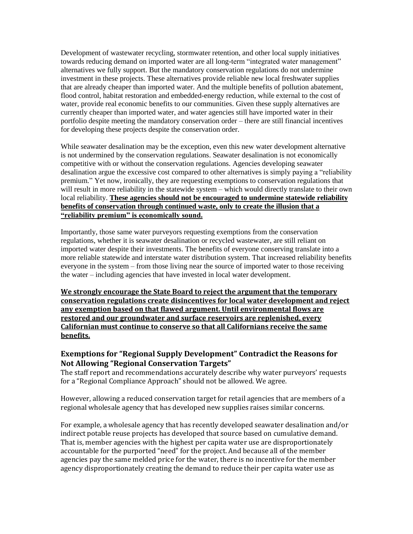Development of wastewater recycling, stormwater retention, and other local supply initiatives towards reducing demand on imported water are all long-term "integrated water management" alternatives we fully support. But the mandatory conservation regulations do not undermine investment in these projects. These alternatives provide reliable new local freshwater supplies that are already cheaper than imported water. And the multiple benefits of pollution abatement, flood control, habitat restoration and embedded-energy reduction, while external to the cost of water, provide real economic benefits to our communities. Given these supply alternatives are currently cheaper than imported water, and water agencies still have imported water in their portfolio despite meeting the mandatory conservation order – there are still financial incentives for developing these projects despite the conservation order.

While seawater desalination may be the exception, even this new water development alternative is not undermined by the conservation regulations. Seawater desalination is not economically competitive with or without the conservation regulations. Agencies developing seawater desalination argue the excessive cost compared to other alternatives is simply paying a "reliability premium." Yet now, ironically, they are requesting exemptions to conservation regulations that will result in more reliability in the statewide system – which would directly translate to their own local reliability. **These agencies should not be encouraged to undermine statewide reliability benefits of conservation through continued waste, only to create the illusion that a "reliability premium" is economically sound.**

Importantly, those same water purveyors requesting exemptions from the conservation regulations, whether it is seawater desalination or recycled wastewater, are still reliant on imported water despite their investments. The benefits of everyone conserving translate into a more reliable statewide and interstate water distribution system. That increased reliability benefits everyone in the system – from those living near the source of imported water to those receiving the water – including agencies that have invested in local water development.

**We strongly encourage the State Board to reject the argument that the temporary conservation regulations create disincentives for local water development and reject any exemption based on that flawed argument. Until environmental flows are restored and our groundwater and surface reservoirs are replenished, every Californian must continue to conserve so that all Californians receive the same benefits.**

# **Exemptions for "Regional Supply Development" Contradict the Reasons for Not Allowing "Regional Conservation Targets"**

The staff report and recommendations accurately describe why water purveyors' requests for a "Regional Compliance Approach" should not be allowed. We agree.

However, allowing a reduced conservation target for retail agencies that are members of a regional wholesale agency that has developed new supplies raises similar concerns.

For example, a wholesale agency that has recently developed seawater desalination and/or indirect potable reuse projects has developed that source based on cumulative demand. That is, member agencies with the highest per capita water use are disproportionately accountable for the purported "need" for the project. And because all of the member agencies pay the same melded price for the water, there is no incentive for the member agency disproportionately creating the demand to reduce their per capita water use as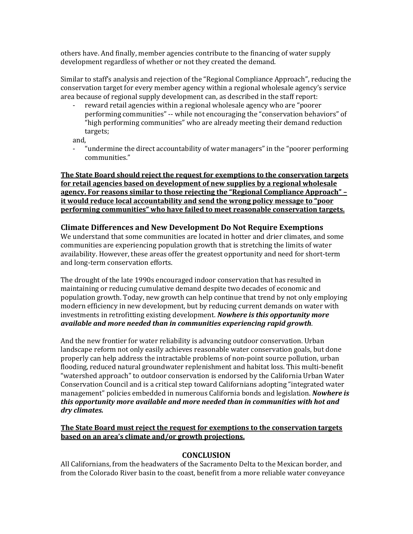others have. And finally, member agencies contribute to the financing of water supply development regardless of whether or not they created the demand.

Similar to staff's analysis and rejection of the "Regional Compliance Approach", reducing the conservation target for every member agency within a regional wholesale agency's service area because of regional supply development can, as described in the staff report:

reward retail agencies within a regional wholesale agency who are "poorer" performing communities" -- while not encouraging the "conservation behaviors" of "high performing communities" who are already meeting their demand reduction targets;

and,

- "undermine the direct accountability of water managers" in the "poorer performing communities."

**The State Board should reject the request for exemptions to the conservation targets for retail agencies based on development of new supplies by a regional wholesale agency. For reasons similar to those rejecting the "Regional Compliance Approach" – it would reduce local accountability and send the wrong policy message to "poor performing communities" who have failed to meet reasonable conservation targets.**

# **Climate Differences and New Development Do Not Require Exemptions**

We understand that some communities are located in hotter and drier climates, and some communities are experiencing population growth that is stretching the limits of water availability. However, these areas offer the greatest opportunity and need for short-term and long-term conservation efforts.

The drought of the late 1990s encouraged indoor conservation that has resulted in maintaining or reducing cumulative demand despite two decades of economic and population growth. Today, new growth can help continue that trend by not only employing modern efficiency in new development, but by reducing current demands on water with investments in retrofitting existing development. *Nowhere is this opportunity more available and more needed than in communities experiencing rapid growth*.

And the new frontier for water reliability is advancing outdoor conservation. Urban landscape reform not only easily achieves reasonable water conservation goals, but done properly can help address the intractable problems of non-point source pollution, urban flooding, reduced natural groundwater replenishment and habitat loss. This multi-benefit "watershed approach" to outdoor conservation is endorsed by the California Urban Water Conservation Council and is a critical step toward Californians adopting "integrated water management" policies embedded in numerous California bonds and legislation. *Nowhere is this opportunity more available and more needed than in communities with hot and dry climates.*

#### **The State Board must reject the request for exemptions to the conservation targets based on an area's climate and/or growth projections.**

### **CONCLUSION**

All Californians, from the headwaters of the Sacramento Delta to the Mexican border, and from the Colorado River basin to the coast, benefit from a more reliable water conveyance